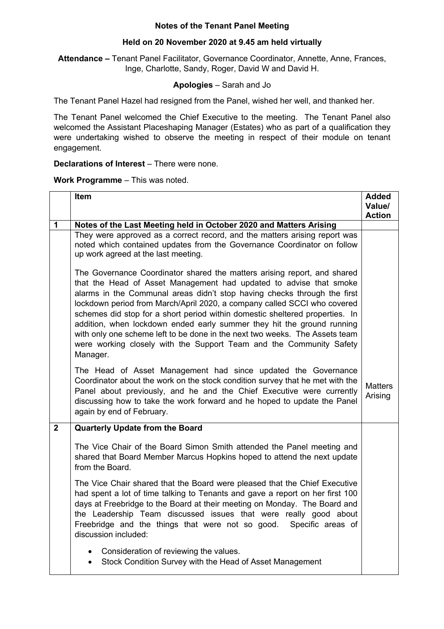## **Notes of the Tenant Panel Meeting**

# **Held on 20 November 2020 at 9.45 am held virtually**

**Attendance –** Tenant Panel Facilitator, Governance Coordinator, Annette, Anne, Frances, Inge, Charlotte, Sandy, Roger, David W and David H.

# **Apologies** – Sarah and Jo

The Tenant Panel Hazel had resigned from the Panel, wished her well, and thanked her.

The Tenant Panel welcomed the Chief Executive to the meeting. The Tenant Panel also welcomed the Assistant Placeshaping Manager (Estates) who as part of a qualification they were undertaking wished to observe the meeting in respect of their module on tenant engagement.

#### **Declarations of Interest** – There were none.

## **Work Programme** – This was noted.

|                | Item                                                                                                                                                                                                                                                                                                                                                                                                                                                                                                                                                                                                                               | <b>Added</b><br>Value/<br><b>Action</b> |
|----------------|------------------------------------------------------------------------------------------------------------------------------------------------------------------------------------------------------------------------------------------------------------------------------------------------------------------------------------------------------------------------------------------------------------------------------------------------------------------------------------------------------------------------------------------------------------------------------------------------------------------------------------|-----------------------------------------|
| 1              | Notes of the Last Meeting held in October 2020 and Matters Arising                                                                                                                                                                                                                                                                                                                                                                                                                                                                                                                                                                 |                                         |
|                | They were approved as a correct record, and the matters arising report was<br>noted which contained updates from the Governance Coordinator on follow<br>up work agreed at the last meeting.                                                                                                                                                                                                                                                                                                                                                                                                                                       |                                         |
|                | The Governance Coordinator shared the matters arising report, and shared<br>that the Head of Asset Management had updated to advise that smoke<br>alarms in the Communal areas didn't stop having checks through the first<br>lockdown period from March/April 2020, a company called SCCI who covered<br>schemes did stop for a short period within domestic sheltered properties. In<br>addition, when lockdown ended early summer they hit the ground running<br>with only one scheme left to be done in the next two weeks. The Assets team<br>were working closely with the Support Team and the Community Safety<br>Manager. |                                         |
|                | The Head of Asset Management had since updated the Governance<br>Coordinator about the work on the stock condition survey that he met with the<br>Panel about previously, and he and the Chief Executive were currently<br>discussing how to take the work forward and he hoped to update the Panel<br>again by end of February.                                                                                                                                                                                                                                                                                                   | <b>Matters</b><br>Arising               |
| $\overline{2}$ | <b>Quarterly Update from the Board</b>                                                                                                                                                                                                                                                                                                                                                                                                                                                                                                                                                                                             |                                         |
|                | The Vice Chair of the Board Simon Smith attended the Panel meeting and<br>shared that Board Member Marcus Hopkins hoped to attend the next update<br>from the Board.                                                                                                                                                                                                                                                                                                                                                                                                                                                               |                                         |
|                | The Vice Chair shared that the Board were pleased that the Chief Executive<br>had spent a lot of time talking to Tenants and gave a report on her first 100<br>days at Freebridge to the Board at their meeting on Monday. The Board and<br>the Leadership Team discussed issues that were really good about<br>Freebridge and the things that were not so good.<br>Specific areas of<br>discussion included:                                                                                                                                                                                                                      |                                         |
|                | Consideration of reviewing the values.<br>Stock Condition Survey with the Head of Asset Management                                                                                                                                                                                                                                                                                                                                                                                                                                                                                                                                 |                                         |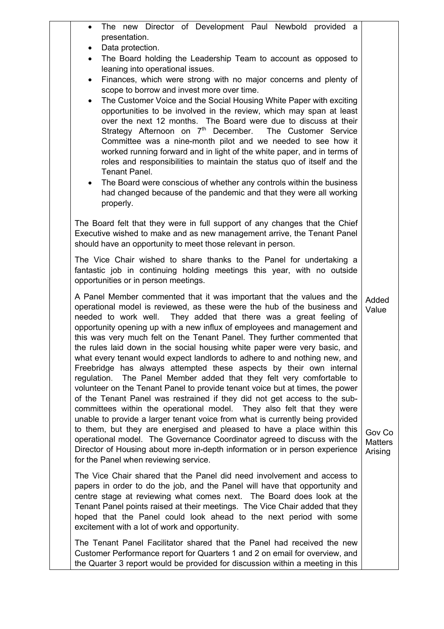| The new Director of Development Paul Newbold provided a<br>presentation.<br>Data protection.<br>$\bullet$<br>The Board holding the Leadership Team to account as opposed to<br>$\bullet$<br>leaning into operational issues.<br>Finances, which were strong with no major concerns and plenty of<br>$\bullet$<br>scope to borrow and invest more over time.<br>The Customer Voice and the Social Housing White Paper with exciting<br>$\bullet$<br>opportunities to be involved in the review, which may span at least<br>over the next 12 months. The Board were due to discuss at their<br>Strategy Afternoon on 7 <sup>th</sup> December. The Customer Service<br>Committee was a nine-month pilot and we needed to see how it<br>worked running forward and in light of the white paper, and in terms of<br>roles and responsibilities to maintain the status quo of itself and the<br>Tenant Panel.<br>The Board were conscious of whether any controls within the business<br>$\bullet$<br>had changed because of the pandemic and that they were all working<br>properly.                                                                                                                                                                                                                       |                                                       |  |
|--------------------------------------------------------------------------------------------------------------------------------------------------------------------------------------------------------------------------------------------------------------------------------------------------------------------------------------------------------------------------------------------------------------------------------------------------------------------------------------------------------------------------------------------------------------------------------------------------------------------------------------------------------------------------------------------------------------------------------------------------------------------------------------------------------------------------------------------------------------------------------------------------------------------------------------------------------------------------------------------------------------------------------------------------------------------------------------------------------------------------------------------------------------------------------------------------------------------------------------------------------------------------------------------------------|-------------------------------------------------------|--|
| The Board felt that they were in full support of any changes that the Chief<br>Executive wished to make and as new management arrive, the Tenant Panel<br>should have an opportunity to meet those relevant in person.                                                                                                                                                                                                                                                                                                                                                                                                                                                                                                                                                                                                                                                                                                                                                                                                                                                                                                                                                                                                                                                                                 |                                                       |  |
| The Vice Chair wished to share thanks to the Panel for undertaking a<br>fantastic job in continuing holding meetings this year, with no outside<br>opportunities or in person meetings.                                                                                                                                                                                                                                                                                                                                                                                                                                                                                                                                                                                                                                                                                                                                                                                                                                                                                                                                                                                                                                                                                                                |                                                       |  |
| A Panel Member commented that it was important that the values and the<br>operational model is reviewed, as these were the hub of the business and<br>needed to work well. They added that there was a great feeling of<br>opportunity opening up with a new influx of employees and management and<br>this was very much felt on the Tenant Panel. They further commented that<br>the rules laid down in the social housing white paper were very basic, and<br>what every tenant would expect landlords to adhere to and nothing new, and<br>Freebridge has always attempted these aspects by their own internal<br>The Panel Member added that they felt very comfortable to<br>regulation.<br>volunteer on the Tenant Panel to provide tenant voice but at times, the power<br>of the Tenant Panel was restrained if they did not get access to the sub-<br>committees within the operational model. They also felt that they were<br>unable to provide a larger tenant voice from what is currently being provided<br>to them, but they are energised and pleased to have a place within this<br>operational model. The Governance Coordinator agreed to discuss with the<br>Director of Housing about more in-depth information or in person experience<br>for the Panel when reviewing service. | Added<br>Value<br>Gov Co<br><b>Matters</b><br>Arising |  |
| The Vice Chair shared that the Panel did need involvement and access to<br>papers in order to do the job, and the Panel will have that opportunity and<br>centre stage at reviewing what comes next. The Board does look at the<br>Tenant Panel points raised at their meetings. The Vice Chair added that they<br>hoped that the Panel could look ahead to the next period with some<br>excitement with a lot of work and opportunity.                                                                                                                                                                                                                                                                                                                                                                                                                                                                                                                                                                                                                                                                                                                                                                                                                                                                |                                                       |  |
| The Tenant Panel Facilitator shared that the Panel had received the new<br>Customer Performance report for Quarters 1 and 2 on email for overview, and<br>the Quarter 3 report would be provided for discussion within a meeting in this                                                                                                                                                                                                                                                                                                                                                                                                                                                                                                                                                                                                                                                                                                                                                                                                                                                                                                                                                                                                                                                               |                                                       |  |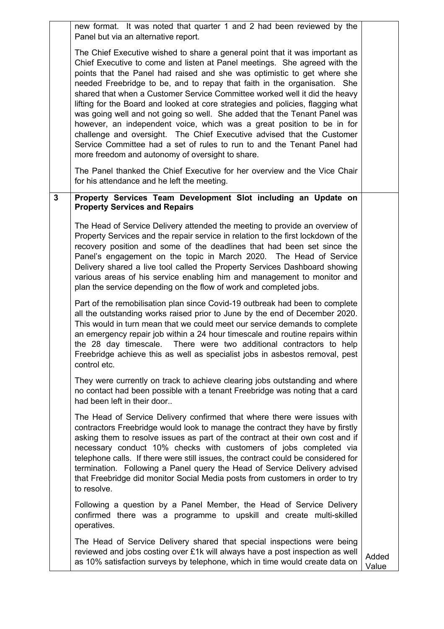|              | new format. It was noted that quarter 1 and 2 had been reviewed by the<br>Panel but via an alternative report.                                                                                                                                                                                                                                                                                                                                                                                                                                                                                                                                                                                                                                                                                                                                                                                                                   |                |
|--------------|----------------------------------------------------------------------------------------------------------------------------------------------------------------------------------------------------------------------------------------------------------------------------------------------------------------------------------------------------------------------------------------------------------------------------------------------------------------------------------------------------------------------------------------------------------------------------------------------------------------------------------------------------------------------------------------------------------------------------------------------------------------------------------------------------------------------------------------------------------------------------------------------------------------------------------|----------------|
|              | The Chief Executive wished to share a general point that it was important as<br>Chief Executive to come and listen at Panel meetings. She agreed with the<br>points that the Panel had raised and she was optimistic to get where she<br>needed Freebridge to be, and to repay that faith in the organisation. She<br>shared that when a Customer Service Committee worked well it did the heavy<br>lifting for the Board and looked at core strategies and policies, flagging what<br>was going well and not going so well. She added that the Tenant Panel was<br>however, an independent voice, which was a great position to be in for<br>challenge and oversight. The Chief Executive advised that the Customer<br>Service Committee had a set of rules to run to and the Tenant Panel had<br>more freedom and autonomy of oversight to share.<br>The Panel thanked the Chief Executive for her overview and the Vice Chair |                |
| $\mathbf{3}$ | for his attendance and he left the meeting.<br>Property Services Team Development Slot including an Update on<br><b>Property Services and Repairs</b>                                                                                                                                                                                                                                                                                                                                                                                                                                                                                                                                                                                                                                                                                                                                                                            |                |
|              | The Head of Service Delivery attended the meeting to provide an overview of<br>Property Services and the repair service in relation to the first lockdown of the<br>recovery position and some of the deadlines that had been set since the<br>Panel's engagement on the topic in March 2020. The Head of Service<br>Delivery shared a live tool called the Property Services Dashboard showing<br>various areas of his service enabling him and management to monitor and<br>plan the service depending on the flow of work and completed jobs.                                                                                                                                                                                                                                                                                                                                                                                 |                |
|              | Part of the remobilisation plan since Covid-19 outbreak had been to complete<br>all the outstanding works raised prior to June by the end of December 2020.<br>This would in turn mean that we could meet our service demands to complete<br>an emergency repair job within a 24 hour timescale and routine repairs within<br>the 28 day timescale.<br>There were two additional contractors to help<br>Freebridge achieve this as well as specialist jobs in asbestos removal, pest<br>control etc.                                                                                                                                                                                                                                                                                                                                                                                                                             |                |
|              | They were currently on track to achieve clearing jobs outstanding and where<br>no contact had been possible with a tenant Freebridge was noting that a card<br>had been left in their door                                                                                                                                                                                                                                                                                                                                                                                                                                                                                                                                                                                                                                                                                                                                       |                |
|              | The Head of Service Delivery confirmed that where there were issues with<br>contractors Freebridge would look to manage the contract they have by firstly<br>asking them to resolve issues as part of the contract at their own cost and if<br>necessary conduct 10% checks with customers of jobs completed via<br>telephone calls. If there were still issues, the contract could be considered for<br>termination. Following a Panel query the Head of Service Delivery advised<br>that Freebridge did monitor Social Media posts from customers in order to try<br>to resolve.                                                                                                                                                                                                                                                                                                                                               |                |
|              | Following a question by a Panel Member, the Head of Service Delivery<br>confirmed there was a programme to upskill and create multi-skilled<br>operatives.                                                                                                                                                                                                                                                                                                                                                                                                                                                                                                                                                                                                                                                                                                                                                                       |                |
|              | The Head of Service Delivery shared that special inspections were being<br>reviewed and jobs costing over £1k will always have a post inspection as well<br>as 10% satisfaction surveys by telephone, which in time would create data on                                                                                                                                                                                                                                                                                                                                                                                                                                                                                                                                                                                                                                                                                         | Added<br>Value |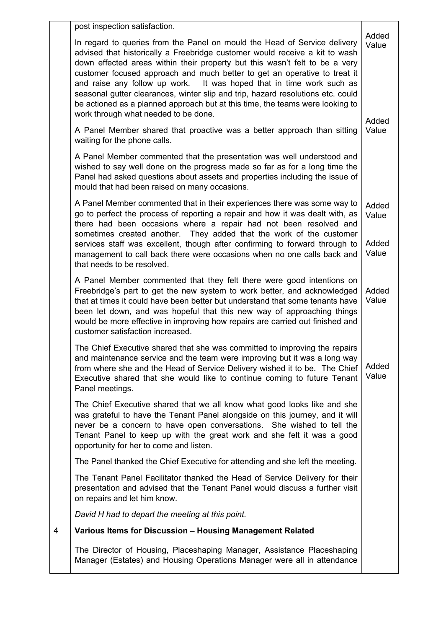|   | post inspection satisfaction.                                                                                                                                                                                                                                                                                                                                                                                                                                                                                                                                                                            |                         |
|---|----------------------------------------------------------------------------------------------------------------------------------------------------------------------------------------------------------------------------------------------------------------------------------------------------------------------------------------------------------------------------------------------------------------------------------------------------------------------------------------------------------------------------------------------------------------------------------------------------------|-------------------------|
|   | In regard to queries from the Panel on mould the Head of Service delivery<br>advised that historically a Freebridge customer would receive a kit to wash<br>down effected areas within their property but this wasn't felt to be a very<br>customer focused approach and much better to get an operative to treat it<br>and raise any follow up work. It was hoped that in time work such as<br>seasonal gutter clearances, winter slip and trip, hazard resolutions etc. could<br>be actioned as a planned approach but at this time, the teams were looking to<br>work through what needed to be done. | Added<br>Value<br>Added |
|   | A Panel Member shared that proactive was a better approach than sitting<br>waiting for the phone calls.                                                                                                                                                                                                                                                                                                                                                                                                                                                                                                  | Value                   |
|   | A Panel Member commented that the presentation was well understood and<br>wished to say well done on the progress made so far as for a long time the<br>Panel had asked questions about assets and properties including the issue of<br>mould that had been raised on many occasions.                                                                                                                                                                                                                                                                                                                    |                         |
|   | A Panel Member commented that in their experiences there was some way to<br>go to perfect the process of reporting a repair and how it was dealt with, as<br>there had been occasions where a repair had not been resolved and<br>sometimes created another. They added that the work of the customer<br>services staff was excellent, though after confirming to forward through to                                                                                                                                                                                                                     | Added<br>Value<br>Added |
|   | management to call back there were occasions when no one calls back and<br>that needs to be resolved.                                                                                                                                                                                                                                                                                                                                                                                                                                                                                                    | Value                   |
|   | A Panel Member commented that they felt there were good intentions on<br>Freebridge's part to get the new system to work better, and acknowledged<br>that at times it could have been better but understand that some tenants have<br>been let down, and was hopeful that this new way of approaching things<br>would be more effective in improving how repairs are carried out finished and<br>customer satisfaction increased.                                                                                                                                                                        | Added<br>Value          |
|   | The Chief Executive shared that she was committed to improving the repairs<br>and maintenance service and the team were improving but it was a long way<br>from where she and the Head of Service Delivery wished it to be. The Chief<br>Executive shared that she would like to continue coming to future Tenant<br>Panel meetings.                                                                                                                                                                                                                                                                     | Added<br>Value          |
|   | The Chief Executive shared that we all know what good looks like and she<br>was grateful to have the Tenant Panel alongside on this journey, and it will<br>never be a concern to have open conversations. She wished to tell the<br>Tenant Panel to keep up with the great work and she felt it was a good<br>opportunity for her to come and listen.                                                                                                                                                                                                                                                   |                         |
|   | The Panel thanked the Chief Executive for attending and she left the meeting.                                                                                                                                                                                                                                                                                                                                                                                                                                                                                                                            |                         |
|   | The Tenant Panel Facilitator thanked the Head of Service Delivery for their<br>presentation and advised that the Tenant Panel would discuss a further visit<br>on repairs and let him know.                                                                                                                                                                                                                                                                                                                                                                                                              |                         |
|   | David H had to depart the meeting at this point.                                                                                                                                                                                                                                                                                                                                                                                                                                                                                                                                                         |                         |
| 4 | Various Items for Discussion - Housing Management Related                                                                                                                                                                                                                                                                                                                                                                                                                                                                                                                                                |                         |
|   | The Director of Housing, Placeshaping Manager, Assistance Placeshaping<br>Manager (Estates) and Housing Operations Manager were all in attendance                                                                                                                                                                                                                                                                                                                                                                                                                                                        |                         |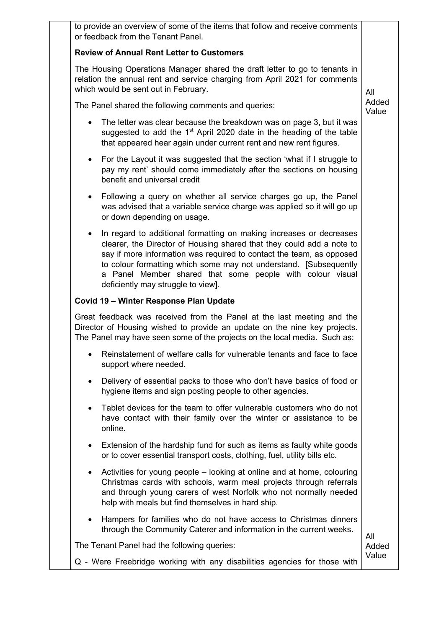| to provide an overview of some of the items that follow and receive comments<br>or feedback from the Tenant Panel.                                                                                                                                                                                                                                                                                        |                |
|-----------------------------------------------------------------------------------------------------------------------------------------------------------------------------------------------------------------------------------------------------------------------------------------------------------------------------------------------------------------------------------------------------------|----------------|
| <b>Review of Annual Rent Letter to Customers</b>                                                                                                                                                                                                                                                                                                                                                          |                |
| The Housing Operations Manager shared the draft letter to go to tenants in<br>relation the annual rent and service charging from April 2021 for comments<br>which would be sent out in February.                                                                                                                                                                                                          | All            |
| The Panel shared the following comments and queries:                                                                                                                                                                                                                                                                                                                                                      | Added<br>Value |
| The letter was clear because the breakdown was on page 3, but it was<br>suggested to add the 1 <sup>st</sup> April 2020 date in the heading of the table<br>that appeared hear again under current rent and new rent figures.                                                                                                                                                                             |                |
| For the Layout it was suggested that the section 'what if I struggle to<br>٠<br>pay my rent' should come immediately after the sections on housing<br>benefit and universal credit                                                                                                                                                                                                                        |                |
| Following a query on whether all service charges go up, the Panel<br>$\bullet$<br>was advised that a variable service charge was applied so it will go up<br>or down depending on usage.                                                                                                                                                                                                                  |                |
| In regard to additional formatting on making increases or decreases<br>$\bullet$<br>clearer, the Director of Housing shared that they could add a note to<br>say if more information was required to contact the team, as opposed<br>to colour formatting which some may not understand. [Subsequently<br>a Panel Member shared that some people with colour visual<br>deficiently may struggle to view]. |                |
| Covid 19 - Winter Response Plan Update                                                                                                                                                                                                                                                                                                                                                                    |                |
| Great feedback was received from the Panel at the last meeting and the<br>Director of Housing wished to provide an update on the nine key projects.<br>The Panel may have seen some of the projects on the local media. Such as:                                                                                                                                                                          |                |
| Reinstatement of welfare calls for vulnerable tenants and face to face<br>support where needed.                                                                                                                                                                                                                                                                                                           |                |
| Delivery of essential packs to those who don't have basics of food or<br>$\bullet$<br>hygiene items and sign posting people to other agencies.                                                                                                                                                                                                                                                            |                |
| Tablet devices for the team to offer vulnerable customers who do not<br>$\bullet$<br>have contact with their family over the winter or assistance to be<br>online.                                                                                                                                                                                                                                        |                |
| Extension of the hardship fund for such as items as faulty white goods<br>$\bullet$<br>or to cover essential transport costs, clothing, fuel, utility bills etc.                                                                                                                                                                                                                                          |                |
| Activities for young people – looking at online and at home, colouring<br>$\bullet$<br>Christmas cards with schools, warm meal projects through referrals<br>and through young carers of west Norfolk who not normally needed<br>help with meals but find themselves in hard ship.                                                                                                                        |                |
| Hampers for families who do not have access to Christmas dinners<br>٠<br>through the Community Caterer and information in the current weeks.                                                                                                                                                                                                                                                              | All            |
| The Tenant Panel had the following queries:                                                                                                                                                                                                                                                                                                                                                               | Added          |
| Q - Were Freebridge working with any disabilities agencies for those with                                                                                                                                                                                                                                                                                                                                 | Value          |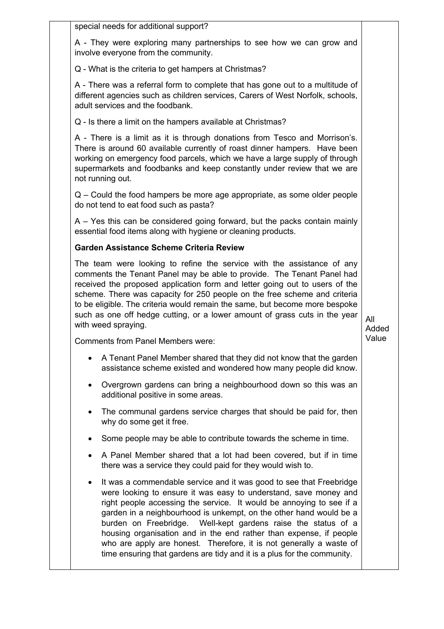special needs for additional support?

A - They were exploring many partnerships to see how we can grow and involve everyone from the community.

Q - What is the criteria to get hampers at Christmas?

A - There was a referral form to complete that has gone out to a multitude of different agencies such as children services, Carers of West Norfolk, schools, adult services and the foodbank.

Q - Is there a limit on the hampers available at Christmas?

A - There is a limit as it is through donations from Tesco and Morrison's. There is around 60 available currently of roast dinner hampers. Have been working on emergency food parcels, which we have a large supply of through supermarkets and foodbanks and keep constantly under review that we are not running out.

Q – Could the food hampers be more age appropriate, as some older people do not tend to eat food such as pasta?

A – Yes this can be considered going forward, but the packs contain mainly essential food items along with hygiene or cleaning products.

# **Garden Assistance Scheme Criteria Review**

The team were looking to refine the service with the assistance of any comments the Tenant Panel may be able to provide. The Tenant Panel had received the proposed application form and letter going out to users of the scheme. There was capacity for 250 people on the free scheme and criteria to be eligible. The criteria would remain the same, but become more bespoke such as one off hedge cutting, or a lower amount of grass cuts in the year with weed spraying.

All Added Value

Comments from Panel Members were:

- A Tenant Panel Member shared that they did not know that the garden assistance scheme existed and wondered how many people did know.
- Overgrown gardens can bring a neighbourhood down so this was an additional positive in some areas.
- The communal gardens service charges that should be paid for, then why do some get it free.
- Some people may be able to contribute towards the scheme in time.
- A Panel Member shared that a lot had been covered, but if in time there was a service they could paid for they would wish to.
- It was a commendable service and it was good to see that Freebridge were looking to ensure it was easy to understand, save money and right people accessing the service. It would be annoying to see if a garden in a neighbourhood is unkempt, on the other hand would be a burden on Freebridge. Well-kept gardens raise the status of a housing organisation and in the end rather than expense, if people who are apply are honest. Therefore, it is not generally a waste of time ensuring that gardens are tidy and it is a plus for the community.